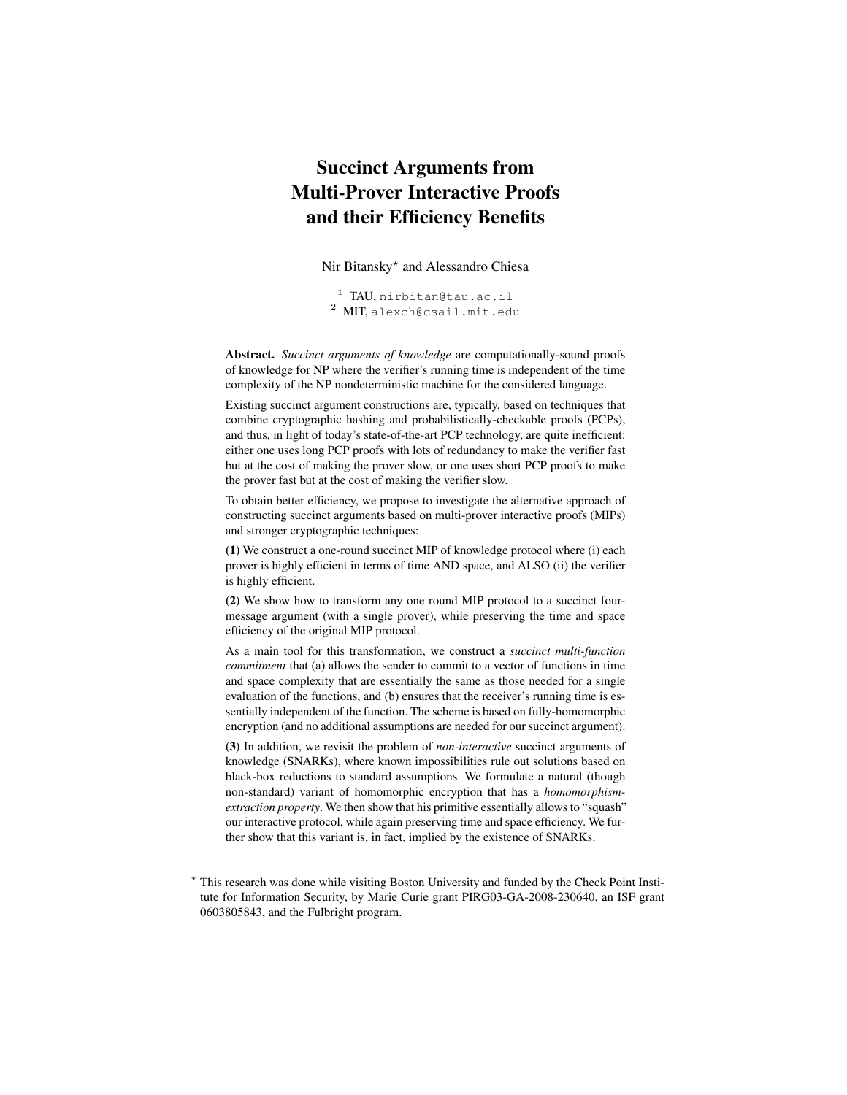# Succinct Arguments from Multi-Prover Interactive Proofs and their Efficiency Benefits

Nir Bitansky<sup>\*</sup> and Alessandro Chiesa

<sup>1</sup> TAU, nirbitan@tau.ac.il <sup>2</sup> MIT, alexch@csail.mit.edu

Abstract. *Succinct arguments of knowledge* are computationally-sound proofs of knowledge for NP where the verifier's running time is independent of the time complexity of the NP nondeterministic machine for the considered language.

Existing succinct argument constructions are, typically, based on techniques that combine cryptographic hashing and probabilistically-checkable proofs (PCPs), and thus, in light of today's state-of-the-art PCP technology, are quite inefficient: either one uses long PCP proofs with lots of redundancy to make the verifier fast but at the cost of making the prover slow, or one uses short PCP proofs to make the prover fast but at the cost of making the verifier slow.

To obtain better efficiency, we propose to investigate the alternative approach of constructing succinct arguments based on multi-prover interactive proofs (MIPs) and stronger cryptographic techniques:

(1) We construct a one-round succinct MIP of knowledge protocol where (i) each prover is highly efficient in terms of time AND space, and ALSO (ii) the verifier is highly efficient.

(2) We show how to transform any one round MIP protocol to a succinct fourmessage argument (with a single prover), while preserving the time and space efficiency of the original MIP protocol.

As a main tool for this transformation, we construct a *succinct multi-function commitment* that (a) allows the sender to commit to a vector of functions in time and space complexity that are essentially the same as those needed for a single evaluation of the functions, and (b) ensures that the receiver's running time is essentially independent of the function. The scheme is based on fully-homomorphic encryption (and no additional assumptions are needed for our succinct argument).

(3) In addition, we revisit the problem of *non-interactive* succinct arguments of knowledge (SNARKs), where known impossibilities rule out solutions based on black-box reductions to standard assumptions. We formulate a natural (though non-standard) variant of homomorphic encryption that has a *homomorphismextraction property*. We then show that his primitive essentially allows to "squash" our interactive protocol, while again preserving time and space efficiency. We further show that this variant is, in fact, implied by the existence of SNARKs.

This research was done while visiting Boston University and funded by the Check Point Institute for Information Security, by Marie Curie grant PIRG03-GA-2008-230640, an ISF grant 0603805843, and the Fulbright program.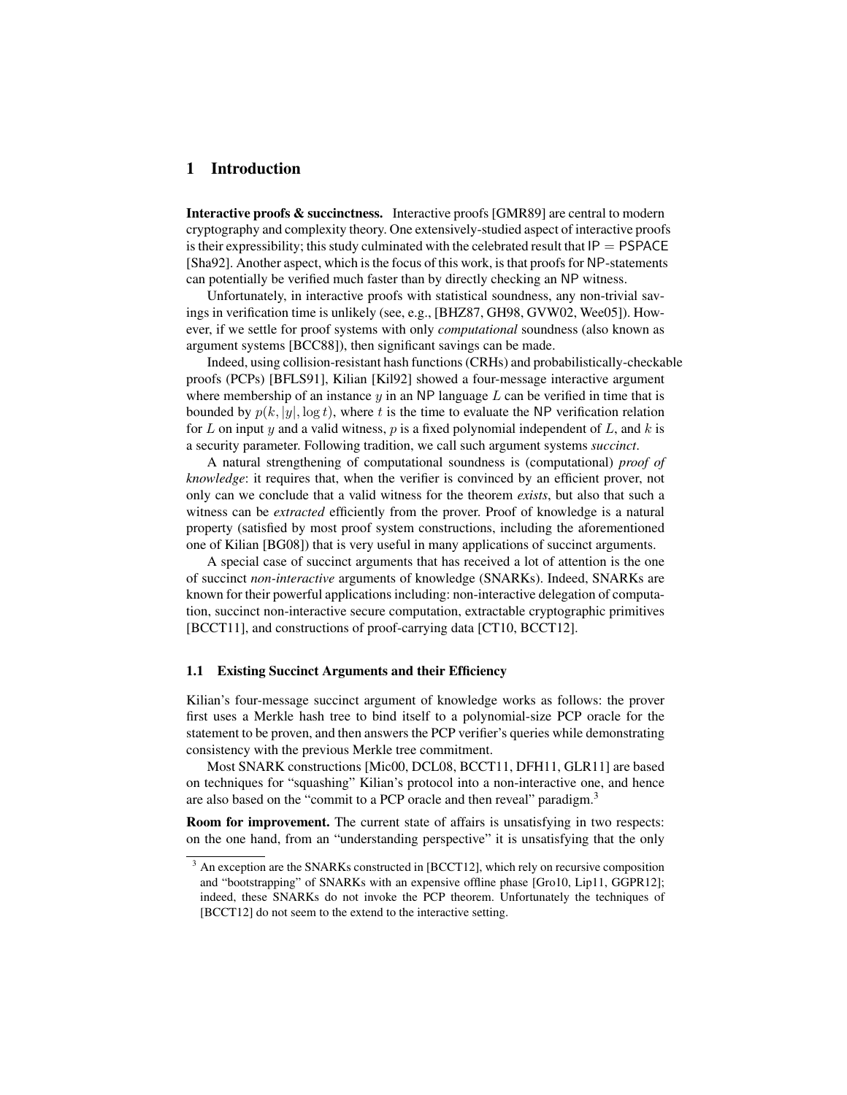## 1 Introduction

Interactive proofs & succinctness. Interactive proofs [\[GMR89\]](#page-16-0) are central to modern cryptography and complexity theory. One extensively-studied aspect of interactive proofs is their expressibility; this study culminated with the celebrated result that  $IP = PSPACE$ [\[Sha92\]](#page-17-0). Another aspect, which is the focus of this work, is that proofs for NP-statements can potentially be verified much faster than by directly checking an NP witness.

Unfortunately, in interactive proofs with statistical soundness, any non-trivial savings in verification time is unlikely (see, e.g., [\[BHZ87,](#page-15-0) [GH98,](#page-16-1) [GVW02,](#page-17-1) [Wee05\]](#page-17-2)). However, if we settle for proof systems with only *computational* soundness (also known as argument systems [\[BCC88\]](#page-15-1)), then significant savings can be made.

Indeed, using collision-resistant hash functions (CRHs) and probabilistically-checkable proofs (PCPs) [\[BFLS91\]](#page-15-2), Kilian [\[Kil92\]](#page-17-3) showed a four-message interactive argument where membership of an instance  $y$  in an NP language  $L$  can be verified in time that is bounded by  $p(k, |y|, \log t)$ , where t is the time to evaluate the NP verification relation for L on input y and a valid witness, p is a fixed polynomial independent of L, and k is a security parameter. Following tradition, we call such argument systems *succinct*.

A natural strengthening of computational soundness is (computational) *proof of knowledge*: it requires that, when the verifier is convinced by an efficient prover, not only can we conclude that a valid witness for the theorem *exists*, but also that such a witness can be *extracted* efficiently from the prover. Proof of knowledge is a natural property (satisfied by most proof system constructions, including the aforementioned one of Kilian [\[BG08\]](#page-15-3)) that is very useful in many applications of succinct arguments.

A special case of succinct arguments that has received a lot of attention is the one of succinct *non-interactive* arguments of knowledge (SNARKs). Indeed, SNARKs are known for their powerful applications including: non-interactive delegation of computation, succinct non-interactive secure computation, extractable cryptographic primitives [\[BCCT11\]](#page-15-4), and constructions of proof-carrying data [\[CT10,](#page-16-2) [BCCT12\]](#page-15-5).

#### 1.1 Existing Succinct Arguments and their Efficiency

Kilian's four-message succinct argument of knowledge works as follows: the prover first uses a Merkle hash tree to bind itself to a polynomial-size PCP oracle for the statement to be proven, and then answers the PCP verifier's queries while demonstrating consistency with the previous Merkle tree commitment.

Most SNARK constructions [\[Mic00,](#page-17-4) [DCL08,](#page-16-3) [BCCT11,](#page-15-4) [DFH11,](#page-16-4) [GLR11\]](#page-16-5) are based on techniques for "squashing" Kilian's protocol into a non-interactive one, and hence are also based on the "commit to a PCP oracle and then reveal" paradigm.<sup>[3](#page-1-0)</sup>

Room for improvement. The current state of affairs is unsatisfying in two respects: on the one hand, from an "understanding perspective" it is unsatisfying that the only

<span id="page-1-0"></span><sup>&</sup>lt;sup>3</sup> An exception are the SNARKs constructed in [\[BCCT12\]](#page-15-5), which rely on recursive composition and "bootstrapping" of SNARKs with an expensive offline phase [\[Gro10,](#page-17-5) [Lip11,](#page-17-6) [GGPR12\]](#page-16-6); indeed, these SNARKs do not invoke the PCP theorem. Unfortunately the techniques of [\[BCCT12\]](#page-15-5) do not seem to the extend to the interactive setting.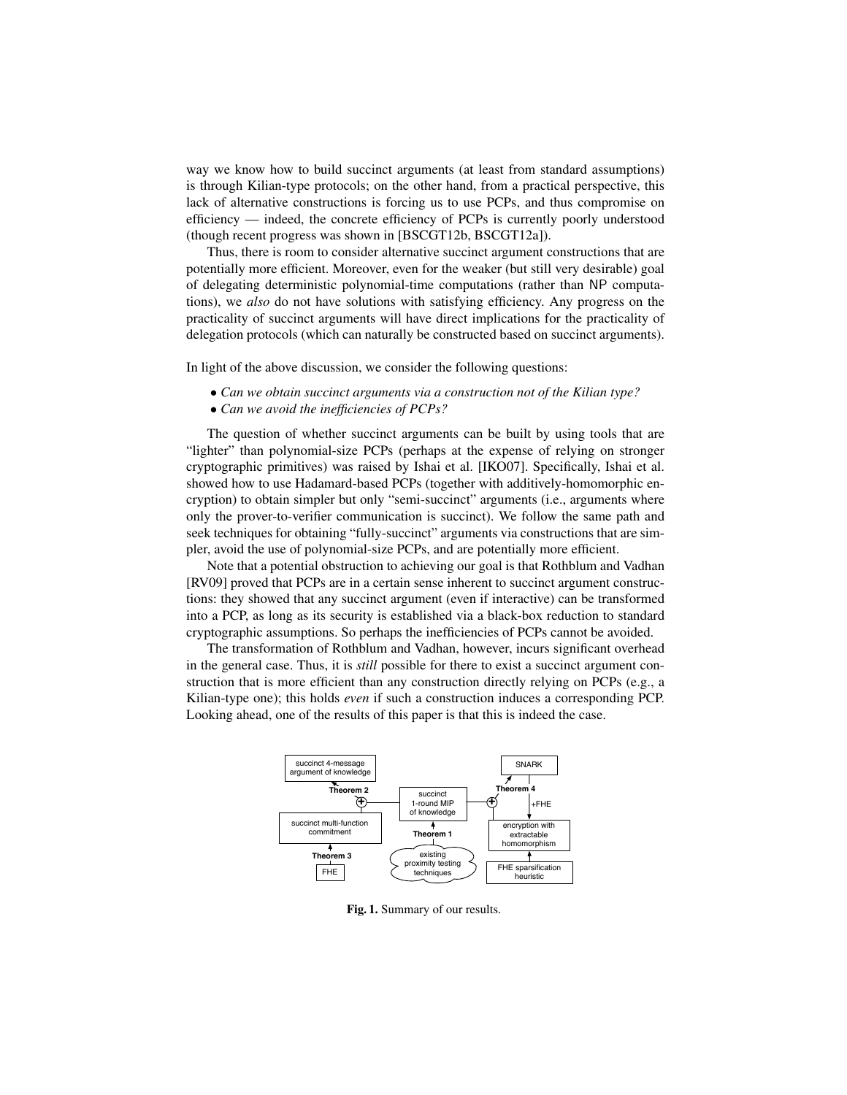way we know how to build succinct arguments (at least from standard assumptions) is through Kilian-type protocols; on the other hand, from a practical perspective, this lack of alternative constructions is forcing us to use PCPs, and thus compromise on efficiency — indeed, the concrete efficiency of PCPs is currently poorly understood (though recent progress was shown in [\[BSCGT12b,](#page-15-6) [BSCGT12a\]](#page-15-7)).

Thus, there is room to consider alternative succinct argument constructions that are potentially more efficient. Moreover, even for the weaker (but still very desirable) goal of delegating deterministic polynomial-time computations (rather than NP computations), we *also* do not have solutions with satisfying efficiency. Any progress on the practicality of succinct arguments will have direct implications for the practicality of delegation protocols (which can naturally be constructed based on succinct arguments).

In light of the above discussion, we consider the following questions:

- *Can we obtain succinct arguments via a construction not of the Kilian type?*
- *Can we avoid the inefficiencies of PCPs?*

The question of whether succinct arguments can be built by using tools that are "lighter" than polynomial-size PCPs (perhaps at the expense of relying on stronger cryptographic primitives) was raised by Ishai et al. [\[IKO07\]](#page-17-7). Specifically, Ishai et al. showed how to use Hadamard-based PCPs (together with additively-homomorphic encryption) to obtain simpler but only "semi-succinct" arguments (i.e., arguments where only the prover-to-verifier communication is succinct). We follow the same path and seek techniques for obtaining "fully-succinct" arguments via constructions that are simpler, avoid the use of polynomial-size PCPs, and are potentially more efficient.

Note that a potential obstruction to achieving our goal is that Rothblum and Vadhan [\[RV09\]](#page-17-8) proved that PCPs are in a certain sense inherent to succinct argument constructions: they showed that any succinct argument (even if interactive) can be transformed into a PCP, as long as its security is established via a black-box reduction to standard cryptographic assumptions. So perhaps the inefficiencies of PCPs cannot be avoided.

The transformation of Rothblum and Vadhan, however, incurs significant overhead in the general case. Thus, it is *still* possible for there to exist a succinct argument construction that is more efficient than any construction directly relying on PCPs (e.g., a Kilian-type one); this holds *even* if such a construction induces a corresponding PCP. Looking ahead, one of the results of this paper is that this is indeed the case.



<span id="page-2-0"></span>Fig. 1. Summary of our results.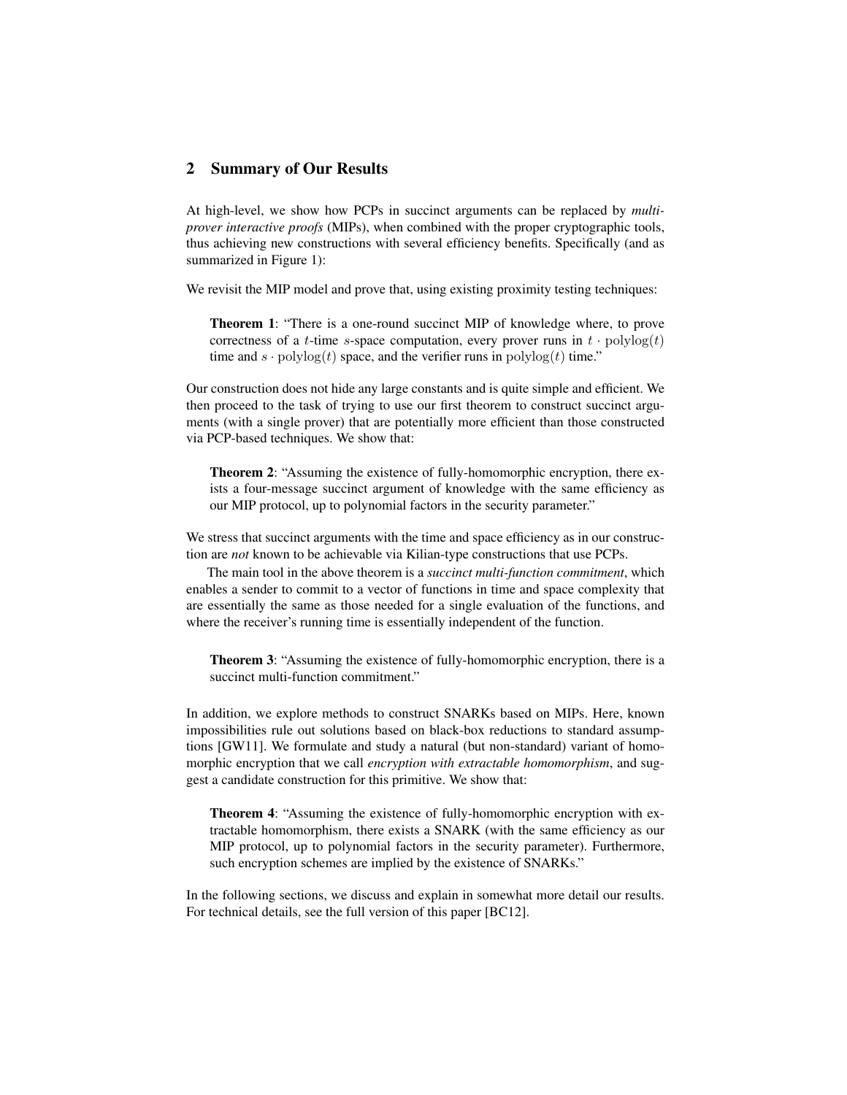### 2 Summary of Our Results

At high-level, we show how PCPs in succinct arguments can be replaced by *multiprover interactive proofs* (MIPs), when combined with the proper cryptographic tools, thus achieving new constructions with several efficiency benefits. Specifically (and as summarized in Figure [1\)](#page-2-0):

We revisit the MIP model and prove that, using existing proximity testing techniques:

Theorem [1](#page-4-0): "There is a one-round succinct MIP of knowledge where, to prove correctness of a t-time s-space computation, every prover runs in  $t \cdot \text{polylog}(t)$ time and  $s \cdot \text{polylog}(t)$  space, and the verifier runs in  $\text{polylog}(t)$  time."

Our construction does not hide any large constants and is quite simple and efficient. We then proceed to the task of trying to use our first theorem to construct succinct arguments (with a single prover) that are potentially more efficient than those constructed via PCP-based techniques. We show that:

Theorem [2](#page-7-0): "Assuming the existence of fully-homomorphic encryption, there exists a four-message succinct argument of knowledge with the same efficiency as our MIP protocol, up to polynomial factors in the security parameter."

We stress that succinct arguments with the time and space efficiency as in our construction are *not* known to be achievable via Kilian-type constructions that use PCPs.

The main tool in the above theorem is a *succinct multi-function commitment*, which enables a sender to commit to a vector of functions in time and space complexity that are essentially the same as those needed for a single evaluation of the functions, and where the receiver's running time is essentially independent of the function.

Theorem [3](#page-8-0): "Assuming the existence of fully-homomorphic encryption, there is a succinct multi-function commitment."

In addition, we explore methods to construct SNARKs based on MIPs. Here, known impossibilities rule out solutions based on black-box reductions to standard assumptions [\[GW11\]](#page-17-9). We formulate and study a natural (but non-standard) variant of homomorphic encryption that we call *encryption with extractable homomorphism*, and suggest a candidate construction for this primitive. We show that:

Theorem [4](#page-13-0): "Assuming the existence of fully-homomorphic encryption with extractable homomorphism, there exists a SNARK (with the same efficiency as our MIP protocol, up to polynomial factors in the security parameter). Furthermore, such encryption schemes are implied by the existence of SNARKs."

In the following sections, we discuss and explain in somewhat more detail our results. For technical details, see the full version of this paper [\[BC12\]](#page-15-8).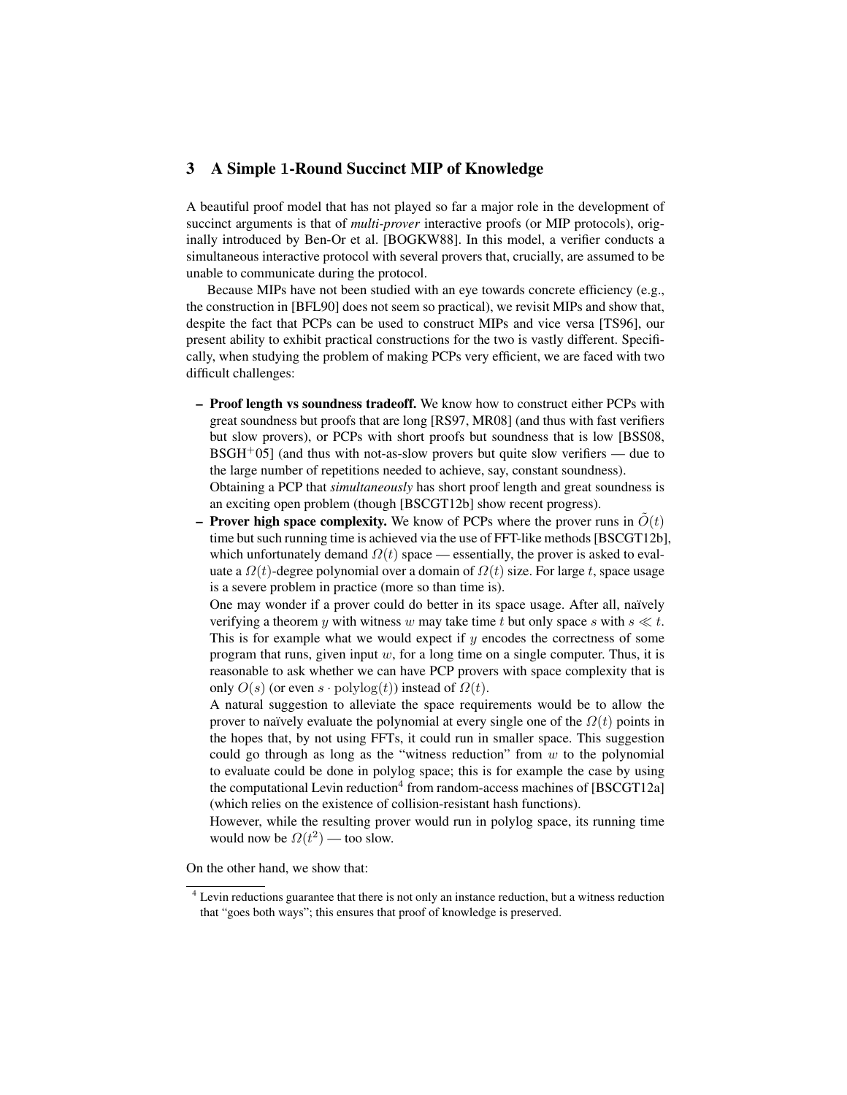# 3 A Simple 1-Round Succinct MIP of Knowledge

A beautiful proof model that has not played so far a major role in the development of succinct arguments is that of *multi-prover* interactive proofs (or MIP protocols), originally introduced by Ben-Or et al. [\[BOGKW88\]](#page-15-9). In this model, a verifier conducts a simultaneous interactive protocol with several provers that, crucially, are assumed to be unable to communicate during the protocol.

Because MIPs have not been studied with an eye towards concrete efficiency (e.g., the construction in [\[BFL90\]](#page-15-10) does not seem so practical), we revisit MIPs and show that, despite the fact that PCPs can be used to construct MIPs and vice versa [\[TS96\]](#page-17-10), our present ability to exhibit practical constructions for the two is vastly different. Specifically, when studying the problem of making PCPs very efficient, we are faced with two difficult challenges:

– Proof length vs soundness tradeoff. We know how to construct either PCPs with great soundness but proofs that are long [\[RS97,](#page-17-11) [MR08\]](#page-17-12) (and thus with fast verifiers but slow provers), or PCPs with short proofs but soundness that is low [\[BSS08,](#page-16-7)  $BSGH<sup>+</sup>05$  $BSGH<sup>+</sup>05$ ] (and thus with not-as-slow provers but quite slow verifiers — due to the large number of repetitions needed to achieve, say, constant soundness). Obtaining a PCP that *simultaneously* has short proof length and great soundness is

an exciting open problem (though [\[BSCGT12b\]](#page-15-6) show recent progress). **Prover high space complexity.** We know of PCPs where the prover runs in  $\hat{O}(t)$ time but such running time is achieved via the use of FFT-like methods [\[BSCGT12b\]](#page-15-6), which unfortunately demand  $\Omega(t)$  space — essentially, the prover is asked to evaluate a  $\Omega(t)$ -degree polynomial over a domain of  $\Omega(t)$  size. For large t, space usage is a severe problem in practice (more so than time is).

One may wonder if a prover could do better in its space usage. After all, naïvely verifying a theorem y with witness w may take time t but only space s with  $s \ll t$ . This is for example what we would expect if  $y$  encodes the correctness of some program that runs, given input  $w$ , for a long time on a single computer. Thus, it is reasonable to ask whether we can have PCP provers with space complexity that is only  $O(s)$  (or even s · polylog(t)) instead of  $\Omega(t)$ .

A natural suggestion to alleviate the space requirements would be to allow the prover to naïvely evaluate the polynomial at every single one of the  $\Omega(t)$  points in the hopes that, by not using FFTs, it could run in smaller space. This suggestion could go through as long as the "witness reduction" from  $w$  to the polynomial to evaluate could be done in polylog space; this is for example the case by using the computational Levin reduction<sup>[4](#page-4-1)</sup> from random-access machines of [\[BSCGT12a\]](#page-15-7) (which relies on the existence of collision-resistant hash functions).

However, while the resulting prover would run in polylog space, its running time would now be  $\Omega(t^2)$  — too slow.

<span id="page-4-0"></span>On the other hand, we show that:

<span id="page-4-1"></span><sup>&</sup>lt;sup>4</sup> Levin reductions guarantee that there is not only an instance reduction, but a witness reduction that "goes both ways"; this ensures that proof of knowledge is preserved.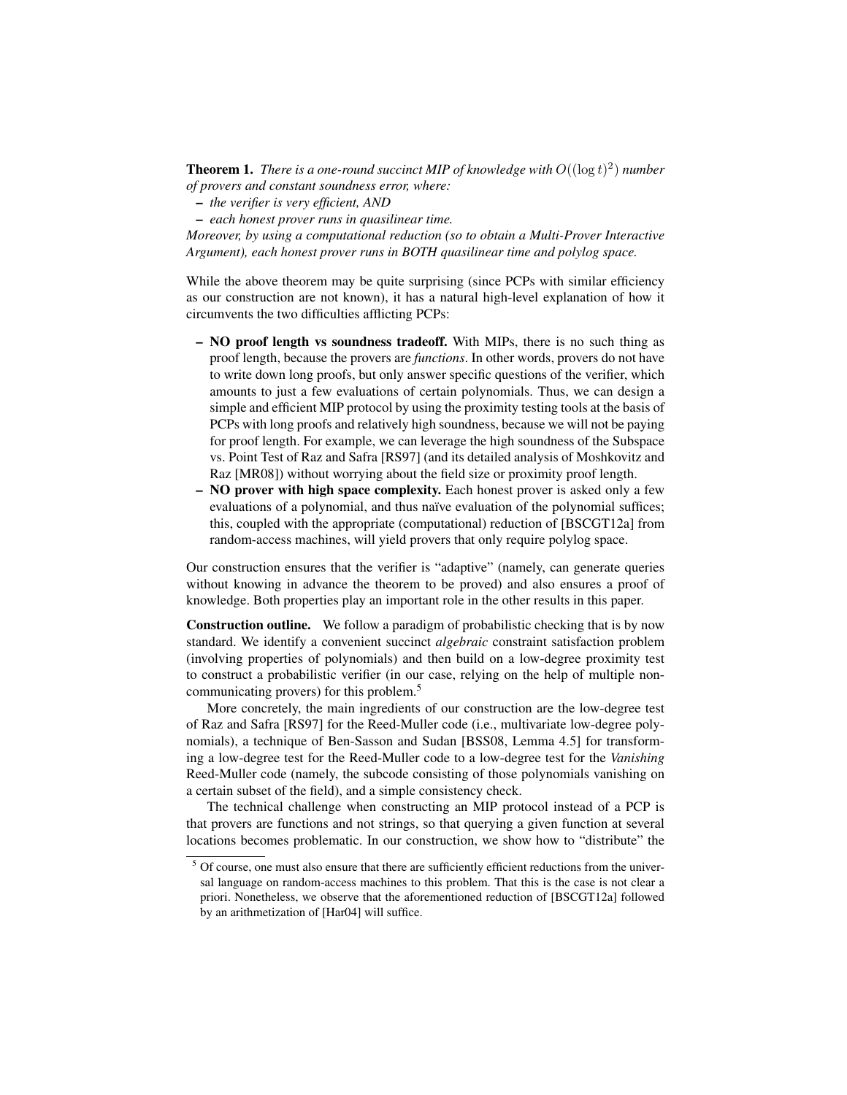**Theorem 1.** There is a one-round succinct MIP of knowledge with  $O((\log t)^2)$  number *of provers and constant soundness error, where:*

- *the verifier is very efficient, AND*
- *each honest prover runs in quasilinear time.*

*Moreover, by using a computational reduction (so to obtain a Multi-Prover Interactive Argument), each honest prover runs in BOTH quasilinear time and polylog space.*

While the above theorem may be quite surprising (since PCPs with similar efficiency as our construction are not known), it has a natural high-level explanation of how it circumvents the two difficulties afflicting PCPs:

- NO proof length vs soundness tradeoff. With MIPs, there is no such thing as proof length, because the provers are *functions*. In other words, provers do not have to write down long proofs, but only answer specific questions of the verifier, which amounts to just a few evaluations of certain polynomials. Thus, we can design a simple and efficient MIP protocol by using the proximity testing tools at the basis of PCPs with long proofs and relatively high soundness, because we will not be paying for proof length. For example, we can leverage the high soundness of the Subspace vs. Point Test of Raz and Safra [\[RS97\]](#page-17-11) (and its detailed analysis of Moshkovitz and Raz [\[MR08\]](#page-17-12)) without worrying about the field size or proximity proof length.
- NO prover with high space complexity. Each honest prover is asked only a few evaluations of a polynomial, and thus naïve evaluation of the polynomial suffices; this, coupled with the appropriate (computational) reduction of [\[BSCGT12a\]](#page-15-7) from random-access machines, will yield provers that only require polylog space.

Our construction ensures that the verifier is "adaptive" (namely, can generate queries without knowing in advance the theorem to be proved) and also ensures a proof of knowledge. Both properties play an important role in the other results in this paper.

Construction outline. We follow a paradigm of probabilistic checking that is by now standard. We identify a convenient succinct *algebraic* constraint satisfaction problem (involving properties of polynomials) and then build on a low-degree proximity test to construct a probabilistic verifier (in our case, relying on the help of multiple noncommunicating provers) for this problem.[5](#page-5-0)

More concretely, the main ingredients of our construction are the low-degree test of Raz and Safra [\[RS97\]](#page-17-11) for the Reed-Muller code (i.e., multivariate low-degree polynomials), a technique of Ben-Sasson and Sudan [\[BSS08,](#page-16-7) Lemma 4.5] for transforming a low-degree test for the Reed-Muller code to a low-degree test for the *Vanishing* Reed-Muller code (namely, the subcode consisting of those polynomials vanishing on a certain subset of the field), and a simple consistency check.

The technical challenge when constructing an MIP protocol instead of a PCP is that provers are functions and not strings, so that querying a given function at several locations becomes problematic. In our construction, we show how to "distribute" the

<span id="page-5-0"></span> $5$  Of course, one must also ensure that there are sufficiently efficient reductions from the universal language on random-access machines to this problem. That this is the case is not clear a priori. Nonetheless, we observe that the aforementioned reduction of [\[BSCGT12a\]](#page-15-7) followed by an arithmetization of [\[Har04\]](#page-17-13) will suffice.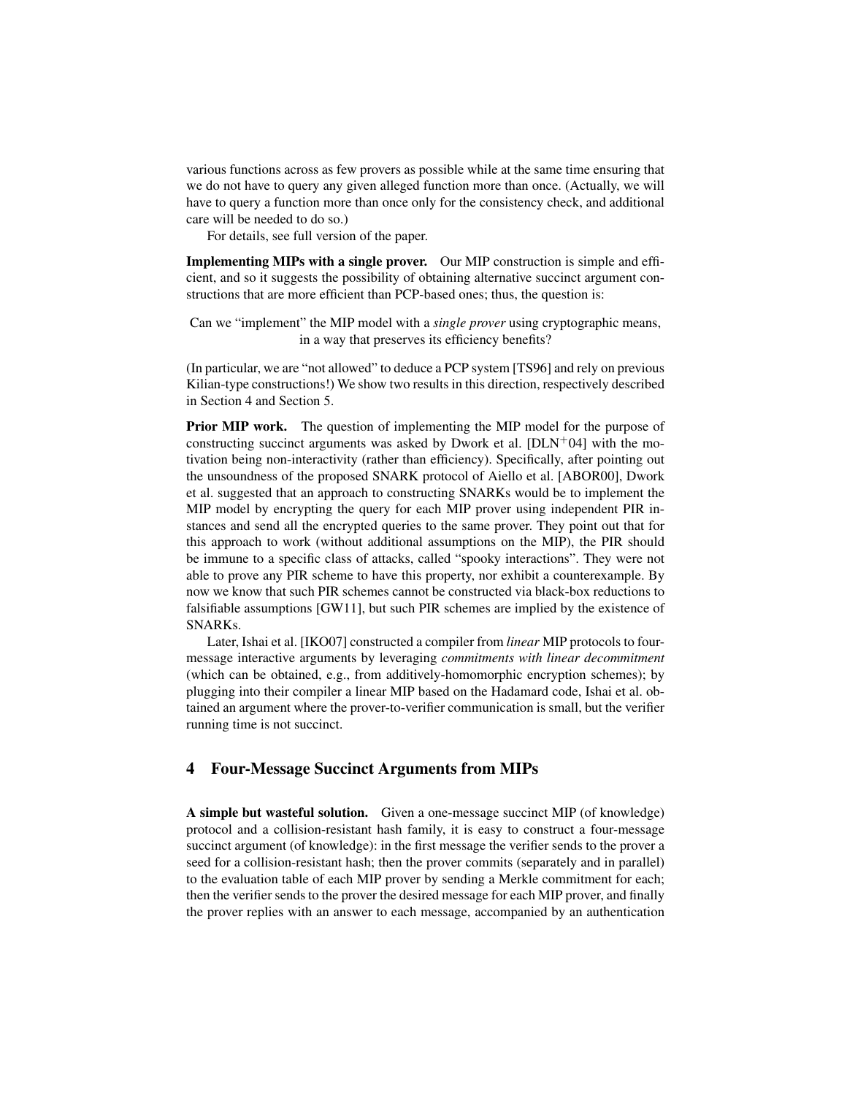various functions across as few provers as possible while at the same time ensuring that we do not have to query any given alleged function more than once. (Actually, we will have to query a function more than once only for the consistency check, and additional care will be needed to do so.)

For details, see full version of the paper.

Implementing MIPs with a single prover. Our MIP construction is simple and efficient, and so it suggests the possibility of obtaining alternative succinct argument constructions that are more efficient than PCP-based ones; thus, the question is:

Can we "implement" the MIP model with a *single prover* using cryptographic means, in a way that preserves its efficiency benefits?

(In particular, we are "not allowed" to deduce a PCP system [\[TS96\]](#page-17-10) and rely on previous Kilian-type constructions!) We show two results in this direction, respectively described in Section [4](#page-6-0) and Section [5.](#page-11-0)

Prior MIP work. The question of implementing the MIP model for the purpose of constructing succinct arguments was asked by Dwork et al.  $[DLN+04]$  $[DLN+04]$  with the motivation being non-interactivity (rather than efficiency). Specifically, after pointing out the unsoundness of the proposed SNARK protocol of Aiello et al. [\[ABOR00\]](#page-15-11), Dwork et al. suggested that an approach to constructing SNARKs would be to implement the MIP model by encrypting the query for each MIP prover using independent PIR instances and send all the encrypted queries to the same prover. They point out that for this approach to work (without additional assumptions on the MIP), the PIR should be immune to a specific class of attacks, called "spooky interactions". They were not able to prove any PIR scheme to have this property, nor exhibit a counterexample. By now we know that such PIR schemes cannot be constructed via black-box reductions to falsifiable assumptions [\[GW11\]](#page-17-9), but such PIR schemes are implied by the existence of SNARKs.

Later, Ishai et al. [\[IKO07\]](#page-17-7) constructed a compiler from *linear* MIP protocols to fourmessage interactive arguments by leveraging *commitments with linear decommitment* (which can be obtained, e.g., from additively-homomorphic encryption schemes); by plugging into their compiler a linear MIP based on the Hadamard code, Ishai et al. obtained an argument where the prover-to-verifier communication is small, but the verifier running time is not succinct.

## <span id="page-6-0"></span>4 Four-Message Succinct Arguments from MIPs

A simple but wasteful solution. Given a one-message succinct MIP (of knowledge) protocol and a collision-resistant hash family, it is easy to construct a four-message succinct argument (of knowledge): in the first message the verifier sends to the prover a seed for a collision-resistant hash; then the prover commits (separately and in parallel) to the evaluation table of each MIP prover by sending a Merkle commitment for each; then the verifier sends to the prover the desired message for each MIP prover, and finally the prover replies with an answer to each message, accompanied by an authentication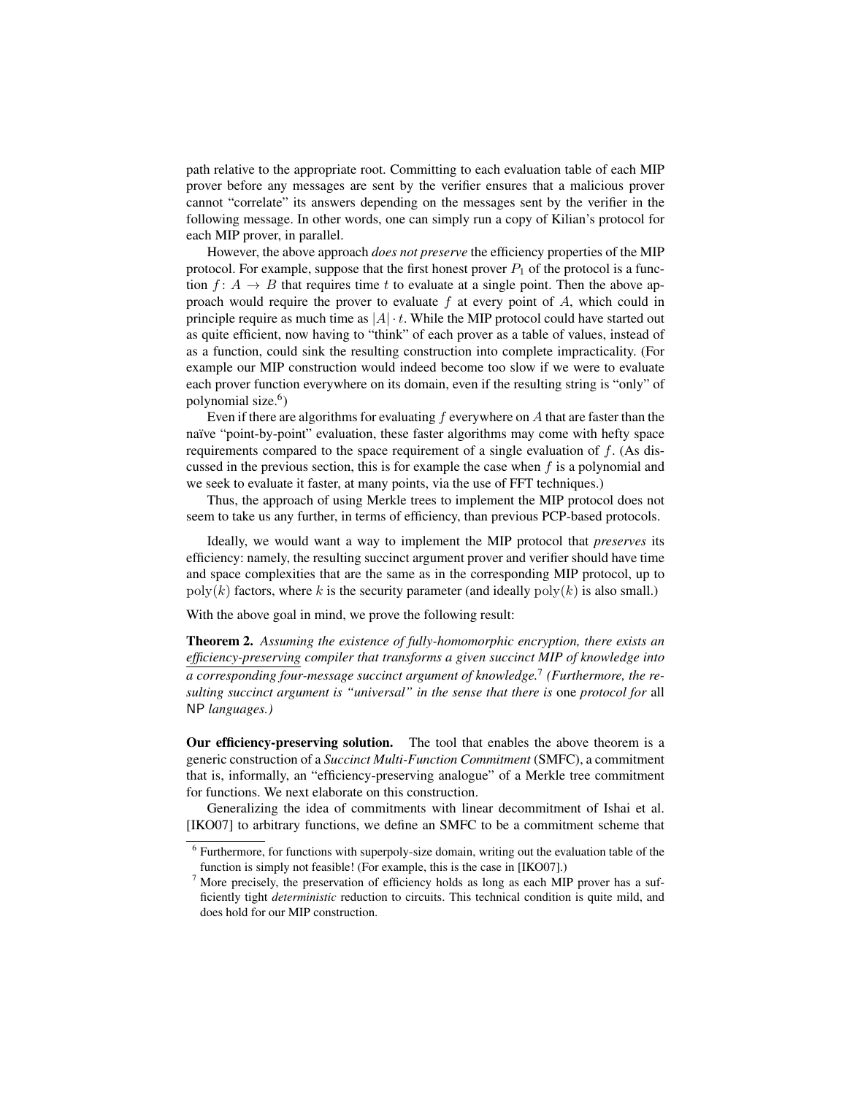path relative to the appropriate root. Committing to each evaluation table of each MIP prover before any messages are sent by the verifier ensures that a malicious prover cannot "correlate" its answers depending on the messages sent by the verifier in the following message. In other words, one can simply run a copy of Kilian's protocol for each MIP prover, in parallel.

However, the above approach *does not preserve* the efficiency properties of the MIP protocol. For example, suppose that the first honest prover  $P_1$  of the protocol is a function  $f: A \rightarrow B$  that requires time t to evaluate at a single point. Then the above approach would require the prover to evaluate  $f$  at every point of  $A$ , which could in principle require as much time as  $|A| \cdot t$ . While the MIP protocol could have started out as quite efficient, now having to "think" of each prover as a table of values, instead of as a function, could sink the resulting construction into complete impracticality. (For example our MIP construction would indeed become too slow if we were to evaluate each prover function everywhere on its domain, even if the resulting string is "only" of polynomial size.<sup>[6](#page-7-1)</sup>)

Even if there are algorithms for evaluating  $f$  everywhere on  $A$  that are faster than the naïve "point-by-point" evaluation, these faster algorithms may come with hefty space requirements compared to the space requirement of a single evaluation of  $f$ . (As discussed in the previous section, this is for example the case when  $f$  is a polynomial and we seek to evaluate it faster, at many points, via the use of FFT techniques.)

Thus, the approach of using Merkle trees to implement the MIP protocol does not seem to take us any further, in terms of efficiency, than previous PCP-based protocols.

Ideally, we would want a way to implement the MIP protocol that *preserves* its efficiency: namely, the resulting succinct argument prover and verifier should have time and space complexities that are the same as in the corresponding MIP protocol, up to  $poly(k)$  factors, where k is the security parameter (and ideally  $poly(k)$  is also small.)

<span id="page-7-0"></span>With the above goal in mind, we prove the following result:

Theorem 2. *Assuming the existence of fully-homomorphic encryption, there exists an efficiency-preserving compiler that transforms a given succinct MIP of knowledge into a corresponding four-message succinct argument of knowledge.*[7](#page-7-2) *(Furthermore, the resulting succinct argument is "universal" in the sense that there is* one *protocol for* all NP *languages.)*

Our efficiency-preserving solution. The tool that enables the above theorem is a generic construction of a *Succinct Multi-Function Commitment* (SMFC), a commitment that is, informally, an "efficiency-preserving analogue" of a Merkle tree commitment for functions. We next elaborate on this construction.

Generalizing the idea of commitments with linear decommitment of Ishai et al. [\[IKO07\]](#page-17-7) to arbitrary functions, we define an SMFC to be a commitment scheme that

<span id="page-7-1"></span><sup>&</sup>lt;sup>6</sup> Furthermore, for functions with superpoly-size domain, writing out the evaluation table of the function is simply not feasible! (For example, this is the case in [\[IKO07\]](#page-17-7).)

<span id="page-7-2"></span><sup>7</sup> More precisely, the preservation of efficiency holds as long as each MIP prover has a sufficiently tight *deterministic* reduction to circuits. This technical condition is quite mild, and does hold for our MIP construction.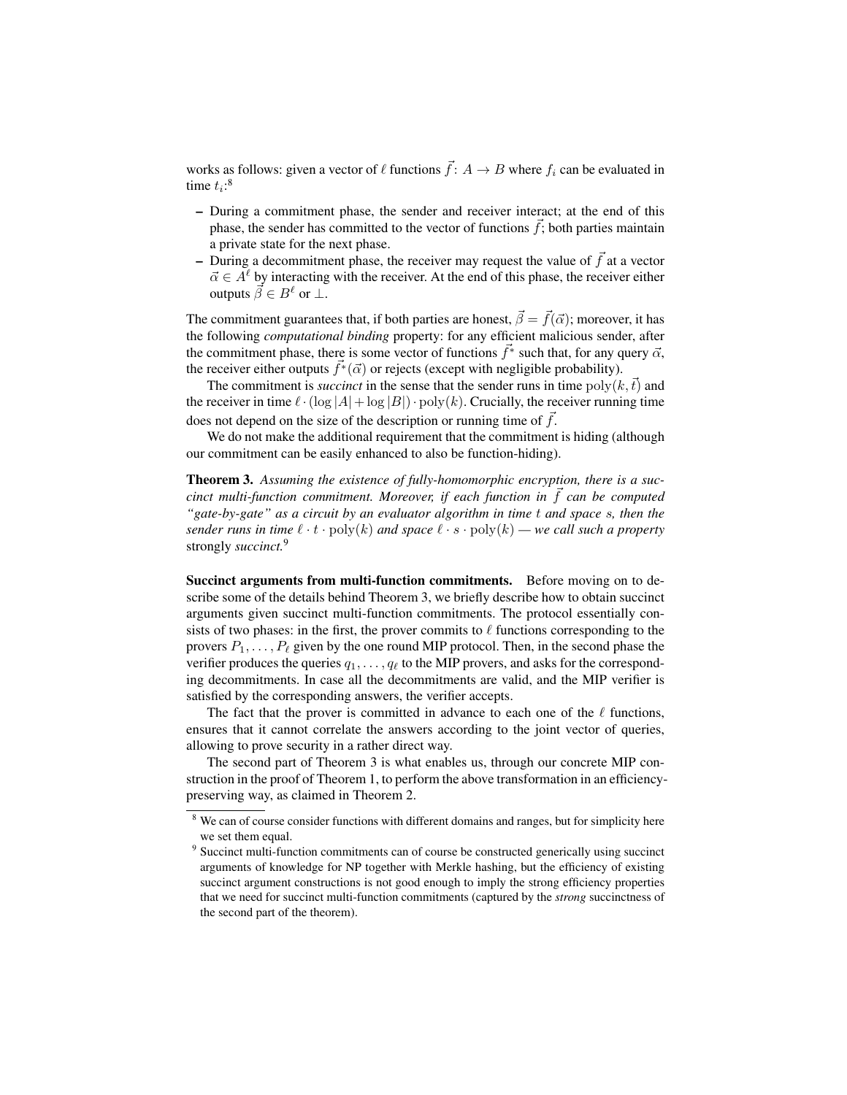works as follows: given a vector of  $\ell$  functions  $\vec{f} : A \to B$  where  $f_i$  can be evaluated in time  $t_i$ :<sup>[8](#page-8-1)</sup>

- During a commitment phase, the sender and receiver interact; at the end of this phase, the sender has committed to the vector of functions  $\vec{f}$ ; both parties maintain a private state for the next phase.
- During a decommitment phase, the receiver may request the value of  $\vec{f}$  at a vector  $\vec{\alpha} \in A^{\ell}$  by interacting with the receiver. At the end of this phase, the receiver either outputs  $\vec{\beta} \in B^{\ell}$  or  $\perp$ .

The commitment guarantees that, if both parties are honest,  $\vec{\beta} = \vec{f}(\vec{\alpha})$ ; moreover, it has the following *computational binding* property: for any efficient malicious sender, after the commitment phase, there is some vector of functions  $\vec{f}^*$  such that, for any query  $\vec{\alpha}$ , the receiver either outputs  $\vec{f}^*(\vec{\alpha})$  or rejects (except with negligible probability).

The commitment is *succinct* in the sense that the sender runs in time  $\text{poly}(k, \vec{t})$  and the receiver in time  $\ell \cdot (\log |A| + \log |B|) \cdot \text{poly}(k)$ . Crucially, the receiver running time does not depend on the size of the description or running time of  $\overline{f}$ .

We do not make the additional requirement that the commitment is hiding (although our commitment can be easily enhanced to also be function-hiding).

<span id="page-8-0"></span>Theorem 3. *Assuming the existence of fully-homomorphic encryption, there is a succinct multi-function commitment. Moreover, if each function in*  $\overrightarrow{f}$  *can be computed "gate-by-gate" as a circuit by an evaluator algorithm in time* t *and space* s*, then the sender runs in time*  $\ell \cdot t \cdot \text{poly}(k)$  *and space*  $\ell \cdot s \cdot \text{poly}(k)$  — we call such a property strongly *succinct.*[9](#page-8-2)

Succinct arguments from multi-function commitments. Before moving on to describe some of the details behind Theorem [3,](#page-8-0) we briefly describe how to obtain succinct arguments given succinct multi-function commitments. The protocol essentially consists of two phases: in the first, the prover commits to  $\ell$  functions corresponding to the provers  $P_1, \ldots, P_\ell$  given by the one round MIP protocol. Then, in the second phase the verifier produces the queries  $q_1, \ldots, q_\ell$  to the MIP provers, and asks for the corresponding decommitments. In case all the decommitments are valid, and the MIP verifier is satisfied by the corresponding answers, the verifier accepts.

The fact that the prover is committed in advance to each one of the  $\ell$  functions, ensures that it cannot correlate the answers according to the joint vector of queries, allowing to prove security in a rather direct way.

The second part of Theorem [3](#page-8-0) is what enables us, through our concrete MIP construction in the proof of Theorem [1,](#page-4-0) to perform the above transformation in an efficiencypreserving way, as claimed in Theorem [2.](#page-7-0)

<span id="page-8-1"></span><sup>&</sup>lt;sup>8</sup> We can of course consider functions with different domains and ranges, but for simplicity here we set them equal.

<span id="page-8-2"></span><sup>&</sup>lt;sup>9</sup> Succinct multi-function commitments can of course be constructed generically using succinct arguments of knowledge for NP together with Merkle hashing, but the efficiency of existing succinct argument constructions is not good enough to imply the strong efficiency properties that we need for succinct multi-function commitments (captured by the *strong* succinctness of the second part of the theorem).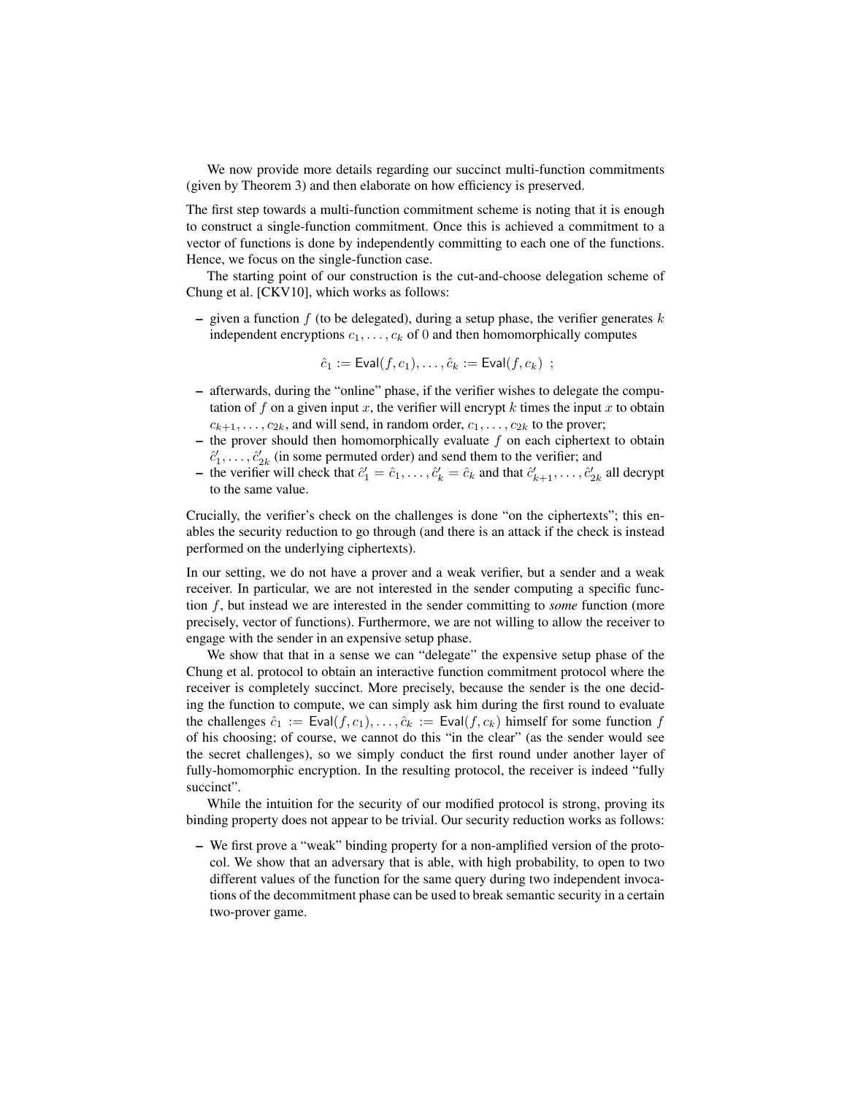We now provide more details regarding our succinct multi-function commitments (given by Theorem [3\)](#page-8-0) and then elaborate on how efficiency is preserved.

The first step towards a multi-function commitment scheme is noting that it is enough to construct a single-function commitment. Once this is achieved a commitment to a vector of functions is done by independently committing to each one of the functions. Hence, we focus on the single-function case.

The starting point of our construction is the cut-and-choose delegation scheme of Chung et al. [\[CKV10\]](#page-16-10), which works as follows:

– given a function  $f$  (to be delegated), during a setup phase, the verifier generates  $k$ independent encryptions  $c_1, \ldots, c_k$  of 0 and then homomorphically computes

$$
\hat{c}_1 := \mathsf{Eval}(f, c_1), \ldots, \hat{c}_k := \mathsf{Eval}(f, c_k) ;
$$

- afterwards, during the "online" phase, if the verifier wishes to delegate the computation of f on a given input x, the verifier will encrypt k times the input x to obtain  $c_{k+1}, \ldots, c_{2k}$ , and will send, in random order,  $c_1, \ldots, c_{2k}$  to the prover;
- $-$  the prover should then homomorphically evaluate  $f$  on each ciphertext to obtain  $\hat{c}'_1, \ldots, \hat{c}'_{2k}$  (in some permuted order) and send them to the verifier; and
- the verifier will check that  $\hat{c}'_1 = \hat{c}_1, \dots, \hat{c}'_k = \hat{c}_k$  and that  $\hat{c}'_{k+1}, \dots, \hat{c}'_{2k}$  all decrypt to the same value.

Crucially, the verifier's check on the challenges is done "on the ciphertexts"; this enables the security reduction to go through (and there is an attack if the check is instead performed on the underlying ciphertexts).

In our setting, we do not have a prover and a weak verifier, but a sender and a weak receiver. In particular, we are not interested in the sender computing a specific function f, but instead we are interested in the sender committing to *some* function (more precisely, vector of functions). Furthermore, we are not willing to allow the receiver to engage with the sender in an expensive setup phase.

We show that that in a sense we can "delegate" the expensive setup phase of the Chung et al. protocol to obtain an interactive function commitment protocol where the receiver is completely succinct. More precisely, because the sender is the one deciding the function to compute, we can simply ask him during the first round to evaluate the challenges  $\hat{c}_1 := \text{Eval}(f, c_1), \dots, \hat{c}_k := \text{Eval}(f, c_k)$  himself for some function f of his choosing; of course, we cannot do this "in the clear" (as the sender would see the secret challenges), so we simply conduct the first round under another layer of fully-homomorphic encryption. In the resulting protocol, the receiver is indeed "fully succinct".

While the intuition for the security of our modified protocol is strong, proving its binding property does not appear to be trivial. Our security reduction works as follows:

– We first prove a "weak" binding property for a non-amplified version of the protocol. We show that an adversary that is able, with high probability, to open to two different values of the function for the same query during two independent invocations of the decommitment phase can be used to break semantic security in a certain two-prover game.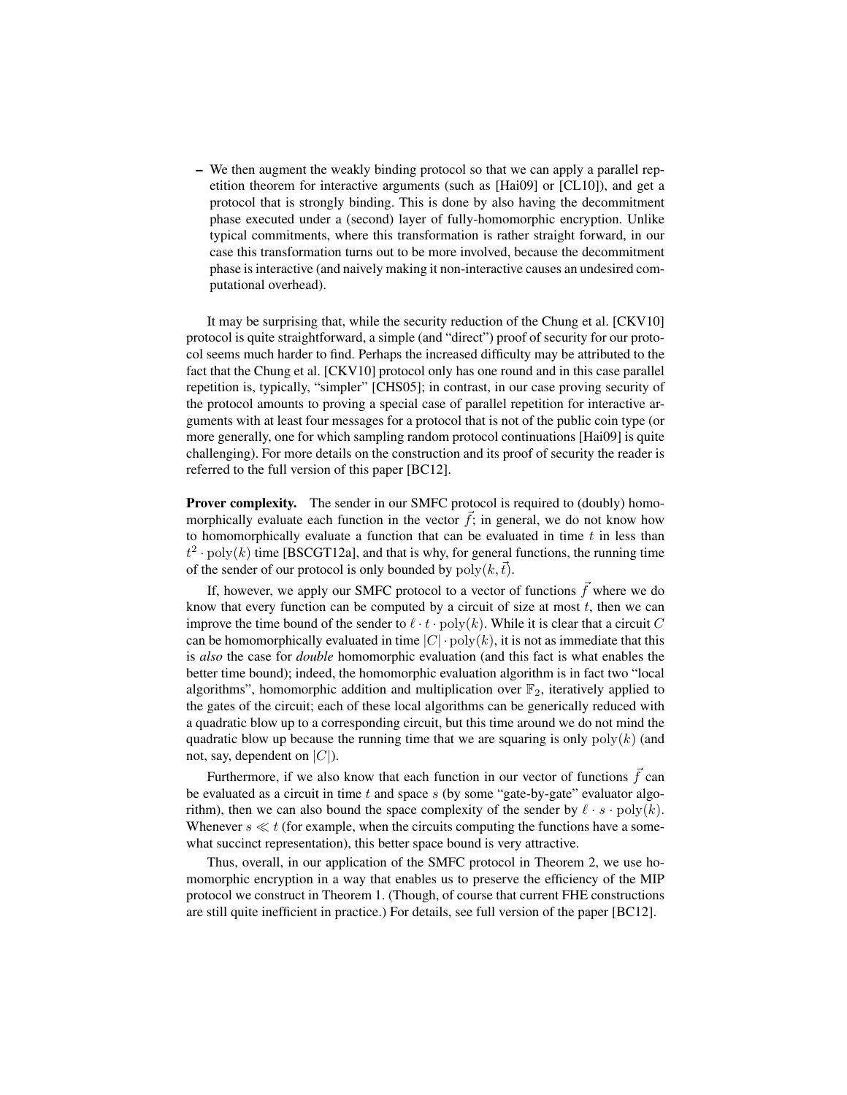– We then augment the weakly binding protocol so that we can apply a parallel repetition theorem for interactive arguments (such as [\[Hai09\]](#page-17-14) or [\[CL10\]](#page-16-11)), and get a protocol that is strongly binding. This is done by also having the decommitment phase executed under a (second) layer of fully-homomorphic encryption. Unlike typical commitments, where this transformation is rather straight forward, in our case this transformation turns out to be more involved, because the decommitment phase is interactive (and naively making it non-interactive causes an undesired computational overhead).

It may be surprising that, while the security reduction of the Chung et al. [\[CKV10\]](#page-16-10) protocol is quite straightforward, a simple (and "direct") proof of security for our protocol seems much harder to find. Perhaps the increased difficulty may be attributed to the fact that the Chung et al. [\[CKV10\]](#page-16-10) protocol only has one round and in this case parallel repetition is, typically, "simpler" [\[CHS05\]](#page-16-12); in contrast, in our case proving security of the protocol amounts to proving a special case of parallel repetition for interactive arguments with at least four messages for a protocol that is not of the public coin type (or more generally, one for which sampling random protocol continuations [\[Hai09\]](#page-17-14) is quite challenging). For more details on the construction and its proof of security the reader is referred to the full version of this paper [\[BC12\]](#page-15-8).

Prover complexity. The sender in our SMFC protocol is required to (doubly) homomorphically evaluate each function in the vector  $\vec{f}$ ; in general, we do not know how to homomorphically evaluate a function that can be evaluated in time  $t$  in less than  $t^2 \cdot \text{poly}(k)$  time [\[BSCGT12a\]](#page-15-7), and that is why, for general functions, the running time of the sender of our protocol is only bounded by  $poly(k, \vec{t})$ .

If, however, we apply our SMFC protocol to a vector of functions  $\vec{f}$  where we do know that every function can be computed by a circuit of size at most  $t$ , then we can improve the time bound of the sender to  $\ell \cdot t \cdot \text{poly}(k)$ . While it is clear that a circuit C can be homomorphically evaluated in time  $|C| \cdot \text{poly}(k)$ , it is not as immediate that this is *also* the case for *double* homomorphic evaluation (and this fact is what enables the better time bound); indeed, the homomorphic evaluation algorithm is in fact two "local algorithms", homomorphic addition and multiplication over  $\mathbb{F}_2$ , iteratively applied to the gates of the circuit; each of these local algorithms can be generically reduced with a quadratic blow up to a corresponding circuit, but this time around we do not mind the quadratic blow up because the running time that we are squaring is only  $poly(k)$  (and not, say, dependent on  $|C|$ ).

Furthermore, if we also know that each function in our vector of functions  $\vec{f}$  can be evaluated as a circuit in time  $t$  and space  $s$  (by some "gate-by-gate" evaluator algorithm), then we can also bound the space complexity of the sender by  $\ell \cdot s \cdot \text{poly}(k)$ . Whenever  $s \ll t$  (for example, when the circuits computing the functions have a somewhat succinct representation), this better space bound is very attractive.

Thus, overall, in our application of the SMFC protocol in Theorem [2,](#page-7-0) we use homomorphic encryption in a way that enables us to preserve the efficiency of the MIP protocol we construct in Theorem [1.](#page-4-0) (Though, of course that current FHE constructions are still quite inefficient in practice.) For details, see full version of the paper [\[BC12\]](#page-15-8).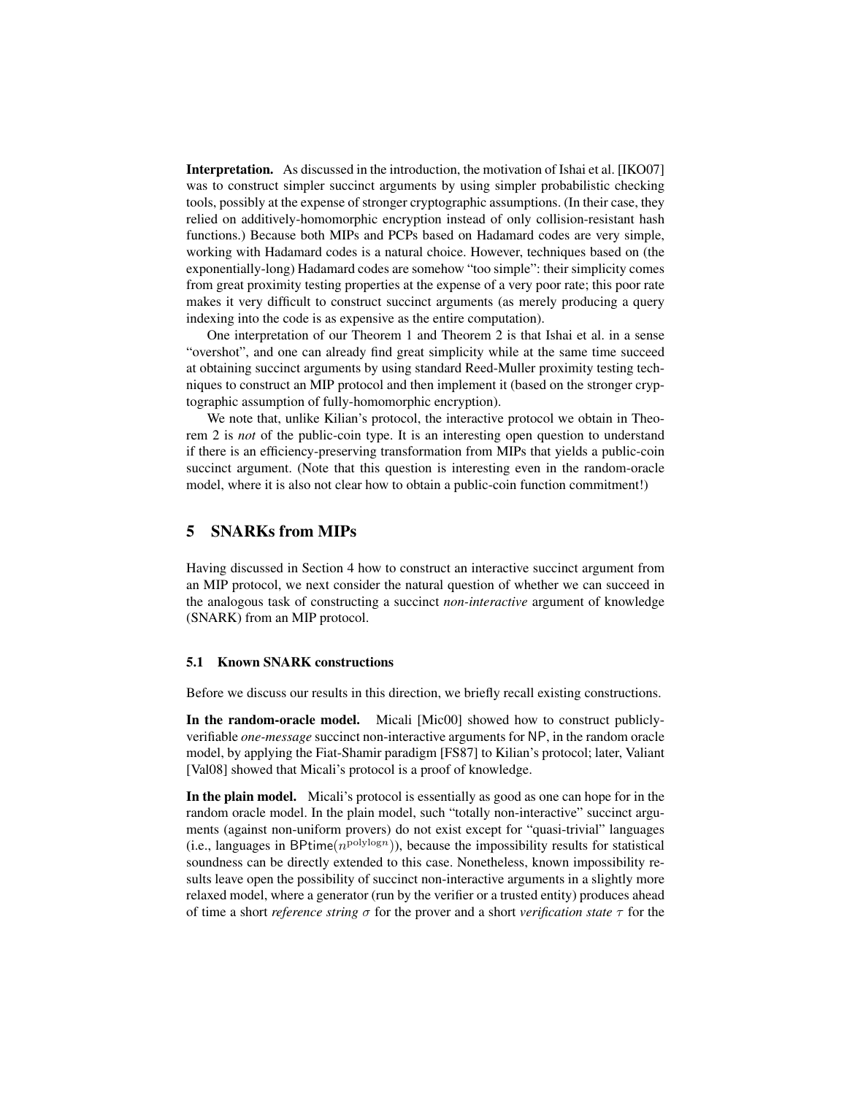Interpretation. As discussed in the introduction, the motivation of Ishai et al. [\[IKO07\]](#page-17-7) was to construct simpler succinct arguments by using simpler probabilistic checking tools, possibly at the expense of stronger cryptographic assumptions. (In their case, they relied on additively-homomorphic encryption instead of only collision-resistant hash functions.) Because both MIPs and PCPs based on Hadamard codes are very simple, working with Hadamard codes is a natural choice. However, techniques based on (the exponentially-long) Hadamard codes are somehow "too simple": their simplicity comes from great proximity testing properties at the expense of a very poor rate; this poor rate makes it very difficult to construct succinct arguments (as merely producing a query indexing into the code is as expensive as the entire computation).

One interpretation of our Theorem [1](#page-4-0) and Theorem [2](#page-7-0) is that Ishai et al. in a sense "overshot", and one can already find great simplicity while at the same time succeed at obtaining succinct arguments by using standard Reed-Muller proximity testing techniques to construct an MIP protocol and then implement it (based on the stronger cryptographic assumption of fully-homomorphic encryption).

We note that, unlike Kilian's protocol, the interactive protocol we obtain in Theorem [2](#page-7-0) is *not* of the public-coin type. It is an interesting open question to understand if there is an efficiency-preserving transformation from MIPs that yields a public-coin succinct argument. (Note that this question is interesting even in the random-oracle model, where it is also not clear how to obtain a public-coin function commitment!)

### <span id="page-11-0"></span>5 SNARKs from MIPs

Having discussed in Section [4](#page-6-0) how to construct an interactive succinct argument from an MIP protocol, we next consider the natural question of whether we can succeed in the analogous task of constructing a succinct *non-interactive* argument of knowledge (SNARK) from an MIP protocol.

#### 5.1 Known SNARK constructions

Before we discuss our results in this direction, we briefly recall existing constructions.

In the random-oracle model. Micali [\[Mic00\]](#page-17-4) showed how to construct publiclyverifiable *one-message* succinct non-interactive arguments for NP, in the random oracle model, by applying the Fiat-Shamir paradigm [\[FS87\]](#page-16-13) to Kilian's protocol; later, Valiant [\[Val08\]](#page-17-15) showed that Micali's protocol is a proof of knowledge.

In the plain model. Micali's protocol is essentially as good as one can hope for in the random oracle model. In the plain model, such "totally non-interactive" succinct arguments (against non-uniform provers) do not exist except for "quasi-trivial" languages (i.e., languages in BPtime $(n^{\text{polylog} n})$ ), because the impossibility results for statistical soundness can be directly extended to this case. Nonetheless, known impossibility results leave open the possibility of succinct non-interactive arguments in a slightly more relaxed model, where a generator (run by the verifier or a trusted entity) produces ahead of time a short *reference string* σ for the prover and a short *verification state* τ for the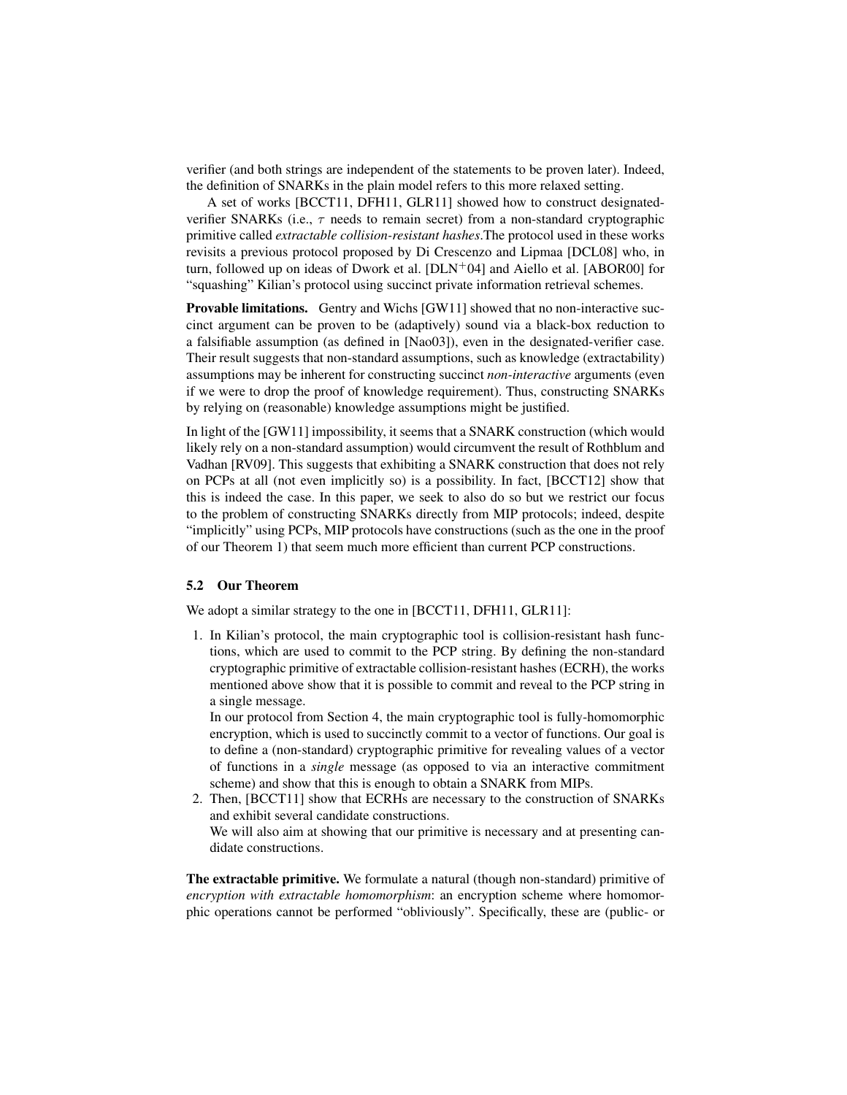verifier (and both strings are independent of the statements to be proven later). Indeed, the definition of SNARKs in the plain model refers to this more relaxed setting.

A set of works [\[BCCT11,](#page-15-4) [DFH11,](#page-16-4) [GLR11\]](#page-16-5) showed how to construct designatedverifier SNARKs (i.e.,  $\tau$  needs to remain secret) from a non-standard cryptographic primitive called *extractable collision-resistant hashes*.The protocol used in these works revisits a previous protocol proposed by Di Crescenzo and Lipmaa [\[DCL08\]](#page-16-3) who, in turn, followed up on ideas of Dwork et al.  $[DLN^+04]$  $[DLN^+04]$  and Aiello et al.  $[ABOR00]$  for "squashing" Kilian's protocol using succinct private information retrieval schemes.

Provable limitations. Gentry and Wichs [\[GW11\]](#page-17-9) showed that no non-interactive succinct argument can be proven to be (adaptively) sound via a black-box reduction to a falsifiable assumption (as defined in [\[Nao03\]](#page-17-16)), even in the designated-verifier case. Their result suggests that non-standard assumptions, such as knowledge (extractability) assumptions may be inherent for constructing succinct *non-interactive* arguments (even if we were to drop the proof of knowledge requirement). Thus, constructing SNARKs by relying on (reasonable) knowledge assumptions might be justified.

In light of the [\[GW11\]](#page-17-9) impossibility, it seems that a SNARK construction (which would likely rely on a non-standard assumption) would circumvent the result of Rothblum and Vadhan [\[RV09\]](#page-17-8). This suggests that exhibiting a SNARK construction that does not rely on PCPs at all (not even implicitly so) is a possibility. In fact, [\[BCCT12\]](#page-15-5) show that this is indeed the case. In this paper, we seek to also do so but we restrict our focus to the problem of constructing SNARKs directly from MIP protocols; indeed, despite "implicitly" using PCPs, MIP protocols have constructions (such as the one in the proof of our Theorem [1\)](#page-4-0) that seem much more efficient than current PCP constructions.

#### 5.2 Our Theorem

We adopt a similar strategy to the one in [\[BCCT11,](#page-15-4) [DFH11,](#page-16-4) [GLR11\]](#page-16-5):

1. In Kilian's protocol, the main cryptographic tool is collision-resistant hash functions, which are used to commit to the PCP string. By defining the non-standard cryptographic primitive of extractable collision-resistant hashes (ECRH), the works mentioned above show that it is possible to commit and reveal to the PCP string in a single message.

In our protocol from Section [4,](#page-6-0) the main cryptographic tool is fully-homomorphic encryption, which is used to succinctly commit to a vector of functions. Our goal is to define a (non-standard) cryptographic primitive for revealing values of a vector of functions in a *single* message (as opposed to via an interactive commitment scheme) and show that this is enough to obtain a SNARK from MIPs.

2. Then, [\[BCCT11\]](#page-15-4) show that ECRHs are necessary to the construction of SNARKs and exhibit several candidate constructions. We will also aim at showing that our primitive is necessary and at presenting can-

didate constructions.

The extractable primitive. We formulate a natural (though non-standard) primitive of *encryption with extractable homomorphism*: an encryption scheme where homomorphic operations cannot be performed "obliviously". Specifically, these are (public- or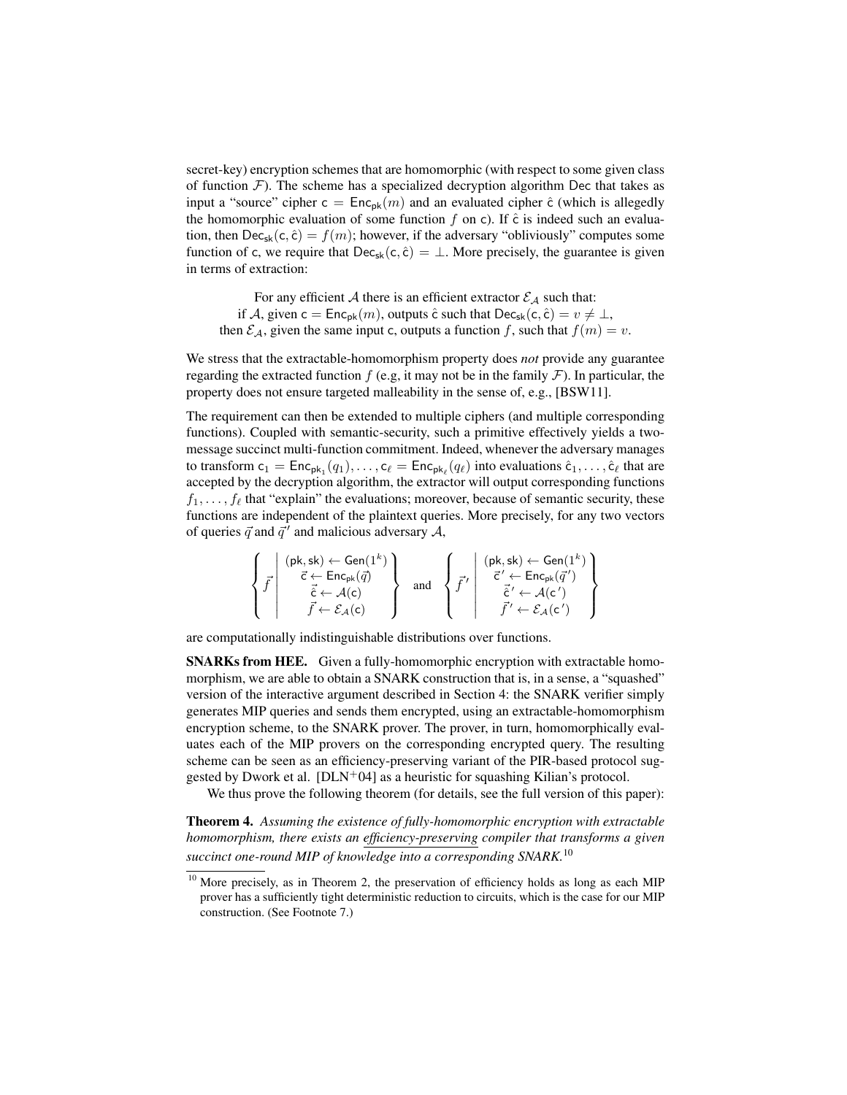secret-key) encryption schemes that are homomorphic (with respect to some given class of function  $F$ ). The scheme has a specialized decryption algorithm Dec that takes as input a "source" cipher  $c = Enc_{pk}(m)$  and an evaluated cipher  $\hat{c}$  (which is allegedly the homomorphic evaluation of some function  $f$  on c). If  $\hat{c}$  is indeed such an evaluation, then  $Dec_{sk}(c, \hat{c}) = f(m)$ ; however, if the adversary "obliviously" computes some function of c, we require that  $\text{Dec}_{sk}(c, \hat{c}) = \perp$ . More precisely, the guarantee is given in terms of extraction:

For any efficient A there is an efficient extractor  $\mathcal{E}_A$  such that: if A, given  $c = \text{Enc}_{pk}(m)$ , outputs  $\hat{c}$  such that  $Dec_{sk}(c, \hat{c}) = v \neq \perp$ , then  $\mathcal{E}_A$ , given the same input c, outputs a function f, such that  $f(m) = v$ .

We stress that the extractable-homomorphism property does *not* provide any guarantee regarding the extracted function f (e.g, it may not be in the family  $\mathcal F$ ). In particular, the property does not ensure targeted malleability in the sense of, e.g., [\[BSW11\]](#page-16-14).

The requirement can then be extended to multiple ciphers (and multiple corresponding functions). Coupled with semantic-security, such a primitive effectively yields a twomessage succinct multi-function commitment. Indeed, whenever the adversary manages to transform  $c_1 = \text{Enc}_{pk_1}(q_1), \ldots, c_\ell = \text{Enc}_{pk_\ell}(q_\ell)$  into evaluations  $\hat{c}_1, \ldots, \hat{c}_\ell$  that are accepted by the decryption algorithm, the extractor will output corresponding functions  $f_1, \ldots, f_\ell$  that "explain" the evaluations; moreover, because of semantic security, these functions are independent of the plaintext queries. More precisely, for any two vectors of queries  $\vec{q}$  and  $\vec{q}'$  and malicious adversary A,

$$
\left\{\vec{f}\left|\begin{array}{c}(\mathsf{pk},\mathsf{sk})\leftarrow\mathsf{Gen}(1^k)\\ \vec{c}\leftarrow\mathsf{Enc}_{\mathsf{pk}}(\vec{q})\\ \vec{c}\leftarrow\mathcal{A}(\mathsf{c})\\ \vec{f}\leftarrow\mathcal{E}_{\mathcal{A}}(\mathsf{c})\end{array}\right\}\right.\text{ and }\left\{\vec{f'}\left|\begin{array}{c}(\mathsf{pk},\mathsf{sk})\leftarrow\mathsf{Gen}(1^k)\\ \vec{c}'\leftarrow\mathsf{Enc}_{\mathsf{pk}}(\vec{q}')\\ \vec{c}'\leftarrow\mathsf{Acc}_{\mathsf{pk}}(\vec{q}')\\ \vec{f}'\leftarrow\mathcal{E}_{\mathcal{A}}(\mathsf{c}')\end{array}\right\}\right.\right\}
$$

are computationally indistinguishable distributions over functions.

SNARKs from HEE. Given a fully-homomorphic encryption with extractable homomorphism, we are able to obtain a SNARK construction that is, in a sense, a "squashed" version of the interactive argument described in Section [4:](#page-6-0) the SNARK verifier simply generates MIP queries and sends them encrypted, using an extractable-homomorphism encryption scheme, to the SNARK prover. The prover, in turn, homomorphically evaluates each of the MIP provers on the corresponding encrypted query. The resulting scheme can be seen as an efficiency-preserving variant of the PIR-based protocol suggested by Dwork et al.  $[DLN^+04]$  $[DLN^+04]$  as a heuristic for squashing Kilian's protocol.

We thus prove the following theorem (for details, see the full version of this paper):

<span id="page-13-0"></span>Theorem 4. *Assuming the existence of fully-homomorphic encryption with extractable homomorphism, there exists an efficiency-preserving compiler that transforms a given succinct one-round MIP of knowledge into a corresponding SNARK.*[10](#page-13-1)

<span id="page-13-1"></span><sup>&</sup>lt;sup>10</sup> More precisely, as in Theorem [2,](#page-7-0) the preservation of efficiency holds as long as each MIP prover has a sufficiently tight deterministic reduction to circuits, which is the case for our MIP construction. (See Footnote [7.](#page-7-2))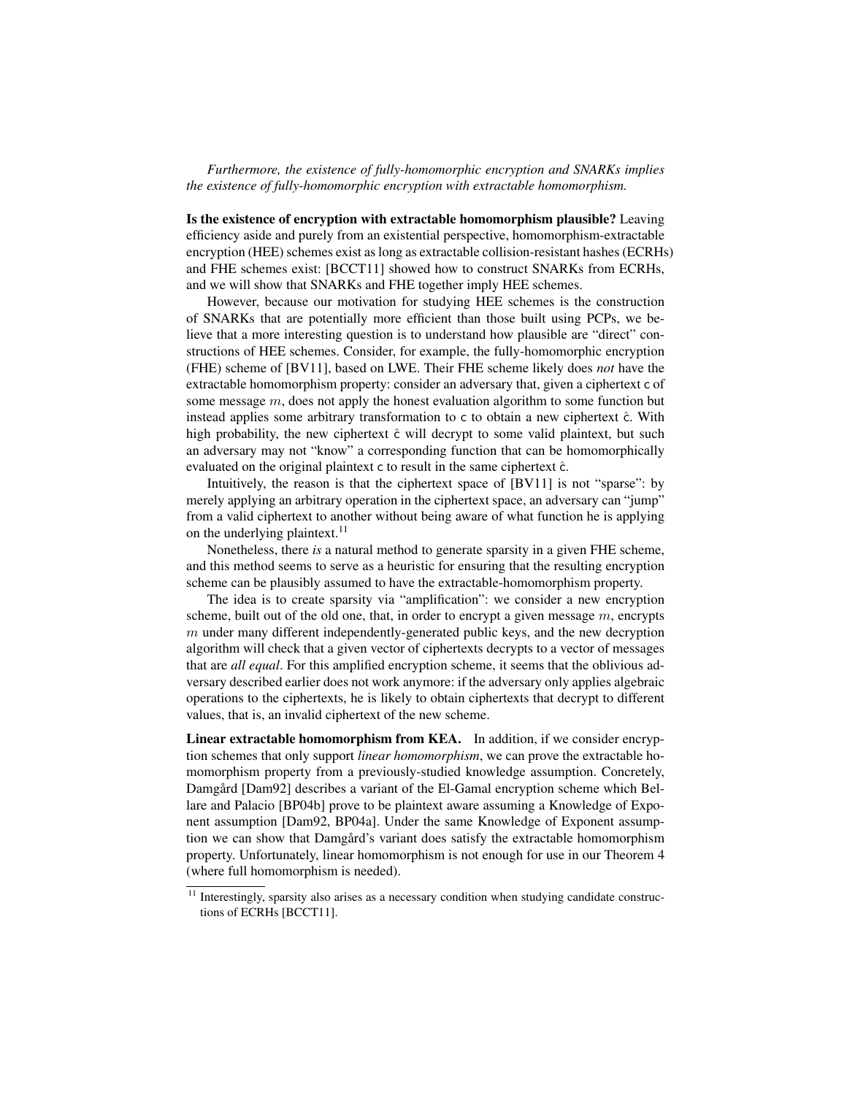*Furthermore, the existence of fully-homomorphic encryption and SNARKs implies the existence of fully-homomorphic encryption with extractable homomorphism.*

Is the existence of encryption with extractable homomorphism plausible? Leaving efficiency aside and purely from an existential perspective, homomorphism-extractable encryption (HEE) schemes exist as long as extractable collision-resistant hashes (ECRHs) and FHE schemes exist: [\[BCCT11\]](#page-15-4) showed how to construct SNARKs from ECRHs, and we will show that SNARKs and FHE together imply HEE schemes.

However, because our motivation for studying HEE schemes is the construction of SNARKs that are potentially more efficient than those built using PCPs, we believe that a more interesting question is to understand how plausible are "direct" constructions of HEE schemes. Consider, for example, the fully-homomorphic encryption (FHE) scheme of [\[BV11\]](#page-16-15), based on LWE. Their FHE scheme likely does *not* have the extractable homomorphism property: consider an adversary that, given a ciphertext c of some message  $m$ , does not apply the honest evaluation algorithm to some function but instead applies some arbitrary transformation to c to obtain a new ciphertext  $\hat{c}$ . With high probability, the new ciphertext  $\hat{c}$  will decrypt to some valid plaintext, but such an adversary may not "know" a corresponding function that can be homomorphically evaluated on the original plaintext  $\epsilon$  to result in the same ciphertext  $\hat{\epsilon}$ .

Intuitively, the reason is that the ciphertext space of [\[BV11\]](#page-16-15) is not "sparse": by merely applying an arbitrary operation in the ciphertext space, an adversary can "jump" from a valid ciphertext to another without being aware of what function he is applying on the underlying plaintext. $^{11}$  $^{11}$  $^{11}$ 

Nonetheless, there *is* a natural method to generate sparsity in a given FHE scheme, and this method seems to serve as a heuristic for ensuring that the resulting encryption scheme can be plausibly assumed to have the extractable-homomorphism property.

The idea is to create sparsity via "amplification": we consider a new encryption scheme, built out of the old one, that, in order to encrypt a given message  $m$ , encrypts  $m$  under many different independently-generated public keys, and the new decryption algorithm will check that a given vector of ciphertexts decrypts to a vector of messages that are *all equal*. For this amplified encryption scheme, it seems that the oblivious adversary described earlier does not work anymore: if the adversary only applies algebraic operations to the ciphertexts, he is likely to obtain ciphertexts that decrypt to different values, that is, an invalid ciphertext of the new scheme.

Linear extractable homomorphism from KEA. In addition, if we consider encryption schemes that only support *linear homomorphism*, we can prove the extractable homomorphism property from a previously-studied knowledge assumption. Concretely, Damgård [[Dam92\]](#page-16-16) describes a variant of the El-Gamal encryption scheme which Bellare and Palacio [\[BP04b\]](#page-15-12) prove to be plaintext aware assuming a Knowledge of Exponent assumption [\[Dam92,](#page-16-16) [BP04a\]](#page-15-13). Under the same Knowledge of Exponent assumption we can show that Damgård's variant does satisfy the extractable homomorphism property. Unfortunately, linear homomorphism is not enough for use in our Theorem [4](#page-13-0) (where full homomorphism is needed).

<span id="page-14-0"></span> $11$  Interestingly, sparsity also arises as a necessary condition when studying candidate constructions of ECRHs [\[BCCT11\]](#page-15-4).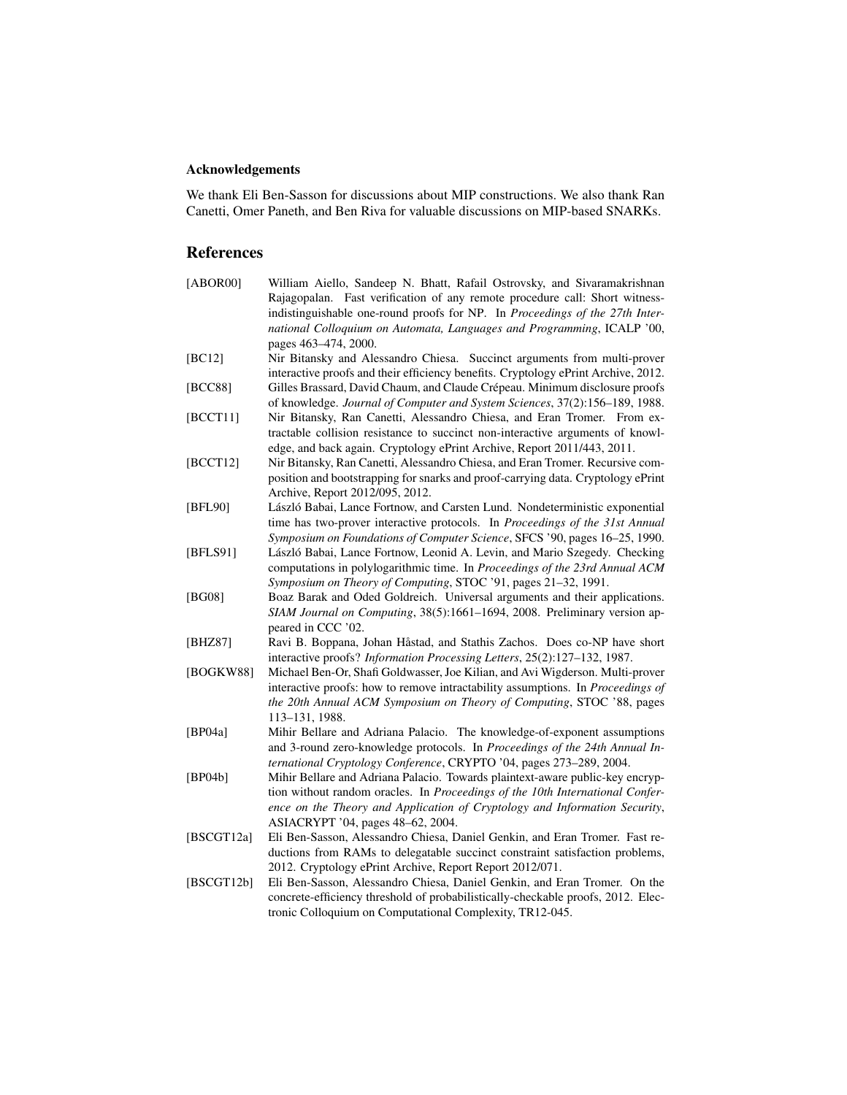## Acknowledgements

We thank Eli Ben-Sasson for discussions about MIP constructions. We also thank Ran Canetti, Omer Paneth, and Ben Riva for valuable discussions on MIP-based SNARKs.

# References

<span id="page-15-13"></span><span id="page-15-12"></span><span id="page-15-11"></span><span id="page-15-10"></span><span id="page-15-9"></span><span id="page-15-8"></span><span id="page-15-7"></span><span id="page-15-6"></span><span id="page-15-5"></span><span id="page-15-4"></span><span id="page-15-3"></span><span id="page-15-2"></span><span id="page-15-1"></span><span id="page-15-0"></span>

| [ABOR00]   | William Aiello, Sandeep N. Bhatt, Rafail Ostrovsky, and Sivaramakrishnan           |
|------------|------------------------------------------------------------------------------------|
|            | Rajagopalan. Fast verification of any remote procedure call: Short witness-        |
|            | indistinguishable one-round proofs for NP. In Proceedings of the 27th Inter-       |
|            | national Colloquium on Automata, Languages and Programming, ICALP '00,             |
|            | pages 463–474, 2000.                                                               |
| [BC12]     | Nir Bitansky and Alessandro Chiesa. Succinct arguments from multi-prover           |
|            | interactive proofs and their efficiency benefits. Cryptology ePrint Archive, 2012. |
| [BCC88]    | Gilles Brassard, David Chaum, and Claude Crépeau. Minimum disclosure proofs        |
|            | of knowledge. Journal of Computer and System Sciences, 37(2):156-189, 1988.        |
| [BCCT11]   | Nir Bitansky, Ran Canetti, Alessandro Chiesa, and Eran Tromer. From ex-            |
|            | tractable collision resistance to succinct non-interactive arguments of knowl-     |
|            | edge, and back again. Cryptology ePrint Archive, Report 2011/443, 2011.            |
| [BCCT12]   | Nir Bitansky, Ran Canetti, Alessandro Chiesa, and Eran Tromer. Recursive com-      |
|            | position and bootstrapping for snarks and proof-carrying data. Cryptology ePrint   |
|            | Archive, Report 2012/095, 2012.                                                    |
| [BFL90]    | László Babai, Lance Fortnow, and Carsten Lund. Nondeterministic exponential        |
|            | time has two-prover interactive protocols. In Proceedings of the 31st Annual       |
|            | Symposium on Foundations of Computer Science, SFCS '90, pages 16-25, 1990.         |
| [BFLS91]   | László Babai, Lance Fortnow, Leonid A. Levin, and Mario Szegedy. Checking          |
|            | computations in polylogarithmic time. In Proceedings of the 23rd Annual ACM        |
|            | Symposium on Theory of Computing, STOC '91, pages 21-32, 1991.                     |
| [BG08]     | Boaz Barak and Oded Goldreich. Universal arguments and their applications.         |
|            | SIAM Journal on Computing, 38(5):1661-1694, 2008. Preliminary version ap-          |
|            | peared in CCC '02.                                                                 |
| [BHZ87]    | Ravi B. Boppana, Johan Håstad, and Stathis Zachos. Does co-NP have short           |
|            | interactive proofs? <i>Information Processing Letters</i> , 25(2):127–132, 1987.   |
| [BOGKW88]  | Michael Ben-Or, Shafi Goldwasser, Joe Kilian, and Avi Wigderson. Multi-prover      |
|            | interactive proofs: how to remove intractability assumptions. In Proceedings of    |
|            | the 20th Annual ACM Symposium on Theory of Computing, STOC '88, pages              |
|            | 113–131, 1988.                                                                     |
| [BP04a]    | Mihir Bellare and Adriana Palacio. The knowledge-of-exponent assumptions           |
|            | and 3-round zero-knowledge protocols. In Proceedings of the 24th Annual In-        |
|            | ternational Cryptology Conference, CRYPTO '04, pages 273-289, 2004.                |
| [BP04b]    | Mihir Bellare and Adriana Palacio. Towards plaintext-aware public-key encryp-      |
|            | tion without random oracles. In Proceedings of the 10th International Confer-      |
|            | ence on the Theory and Application of Cryptology and Information Security,         |
|            | ASIACRYPT '04, pages 48–62, 2004.                                                  |
| [BSCGT12a] | Eli Ben-Sasson, Alessandro Chiesa, Daniel Genkin, and Eran Tromer. Fast re-        |
|            | ductions from RAMs to delegatable succinct constraint satisfaction problems,       |
|            | 2012. Cryptology ePrint Archive, Report Report 2012/071.                           |
| [BSCGT12b] | Eli Ben-Sasson, Alessandro Chiesa, Daniel Genkin, and Eran Tromer. On the          |
|            | concrete-efficiency threshold of probabilistically-checkable proofs, 2012. Elec-   |
|            | tronic Colloquium on Computational Complexity, TR12-045.                           |
|            |                                                                                    |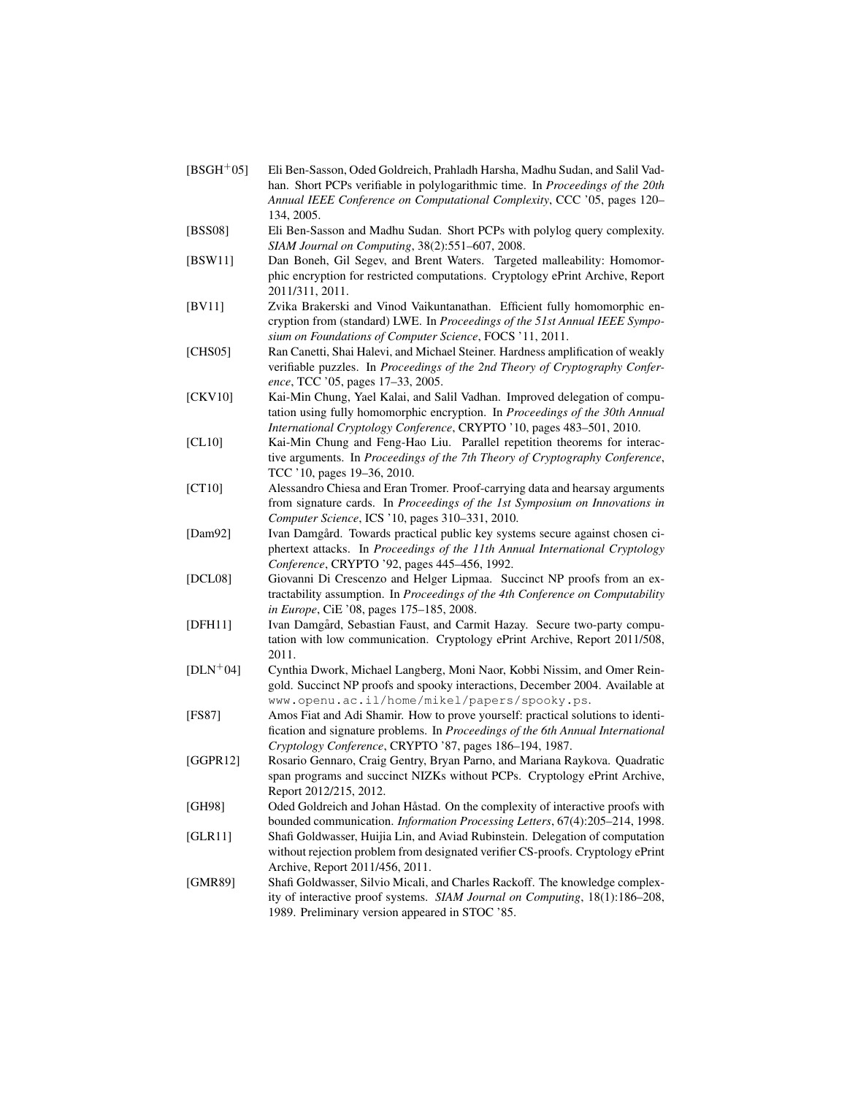- <span id="page-16-8"></span>[BSGH<sup>+</sup>05] Eli Ben-Sasson, Oded Goldreich, Prahladh Harsha, Madhu Sudan, and Salil Vadhan. Short PCPs verifiable in polylogarithmic time. In *Proceedings of the 20th Annual IEEE Conference on Computational Complexity*, CCC '05, pages 120– 134, 2005.
- <span id="page-16-7"></span>[BSS08] Eli Ben-Sasson and Madhu Sudan. Short PCPs with polylog query complexity. *SIAM Journal on Computing*, 38(2):551–607, 2008.
- <span id="page-16-14"></span>[BSW11] Dan Boneh, Gil Segev, and Brent Waters. Targeted malleability: Homomorphic encryption for restricted computations. Cryptology ePrint Archive, Report 2011/311, 2011.
- <span id="page-16-15"></span>[BV11] Zvika Brakerski and Vinod Vaikuntanathan. Efficient fully homomorphic encryption from (standard) LWE. In *Proceedings of the 51st Annual IEEE Symposium on Foundations of Computer Science*, FOCS '11, 2011.
- <span id="page-16-12"></span>[CHS05] Ran Canetti, Shai Halevi, and Michael Steiner. Hardness amplification of weakly verifiable puzzles. In *Proceedings of the 2nd Theory of Cryptography Conference*, TCC '05, pages 17–33, 2005.
- <span id="page-16-10"></span>[CKV10] Kai-Min Chung, Yael Kalai, and Salil Vadhan. Improved delegation of computation using fully homomorphic encryption. In *Proceedings of the 30th Annual International Cryptology Conference*, CRYPTO '10, pages 483–501, 2010.
- <span id="page-16-11"></span>[CL10] Kai-Min Chung and Feng-Hao Liu. Parallel repetition theorems for interactive arguments. In *Proceedings of the 7th Theory of Cryptography Conference*, TCC '10, pages 19–36, 2010.
- <span id="page-16-2"></span>[CT10] Alessandro Chiesa and Eran Tromer. Proof-carrying data and hearsay arguments from signature cards. In *Proceedings of the 1st Symposium on Innovations in Computer Science*, ICS '10, pages 310–331, 2010.
- <span id="page-16-16"></span>[Dam92] Ivan Damgård. Towards practical public key systems secure against chosen ciphertext attacks. In *Proceedings of the 11th Annual International Cryptology Conference*, CRYPTO '92, pages 445–456, 1992.
- <span id="page-16-3"></span>[DCL08] Giovanni Di Crescenzo and Helger Lipmaa. Succinct NP proofs from an extractability assumption. In *Proceedings of the 4th Conference on Computability in Europe*, CiE '08, pages 175–185, 2008.
- <span id="page-16-4"></span>[DFH11] Ivan Damgård, Sebastian Faust, and Carmit Hazay. Secure two-party computation with low communication. Cryptology ePrint Archive, Report 2011/508, 2011.
- <span id="page-16-9"></span>[DLN<sup>+</sup>04] Cynthia Dwork, Michael Langberg, Moni Naor, Kobbi Nissim, and Omer Reingold. Succinct NP proofs and spooky interactions, December 2004. Available at <www.openu.ac.il/home/mikel/papers/spooky.ps>.
- <span id="page-16-13"></span>[FS87] Amos Fiat and Adi Shamir. How to prove yourself: practical solutions to identification and signature problems. In *Proceedings of the 6th Annual International Cryptology Conference*, CRYPTO '87, pages 186–194, 1987.
- <span id="page-16-6"></span>[GGPR12] Rosario Gennaro, Craig Gentry, Bryan Parno, and Mariana Raykova. Quadratic span programs and succinct NIZKs without PCPs. Cryptology ePrint Archive, Report 2012/215, 2012.
- <span id="page-16-1"></span>[GH98] Oded Goldreich and Johan Håstad. On the complexity of interactive proofs with bounded communication. *Information Processing Letters*, 67(4):205–214, 1998.
- <span id="page-16-5"></span>[GLR11] Shafi Goldwasser, Huijia Lin, and Aviad Rubinstein. Delegation of computation without rejection problem from designated verifier CS-proofs. Cryptology ePrint Archive, Report 2011/456, 2011.
- <span id="page-16-0"></span>[GMR89] Shafi Goldwasser, Silvio Micali, and Charles Rackoff. The knowledge complexity of interactive proof systems. *SIAM Journal on Computing*, 18(1):186–208, 1989. Preliminary version appeared in STOC '85.